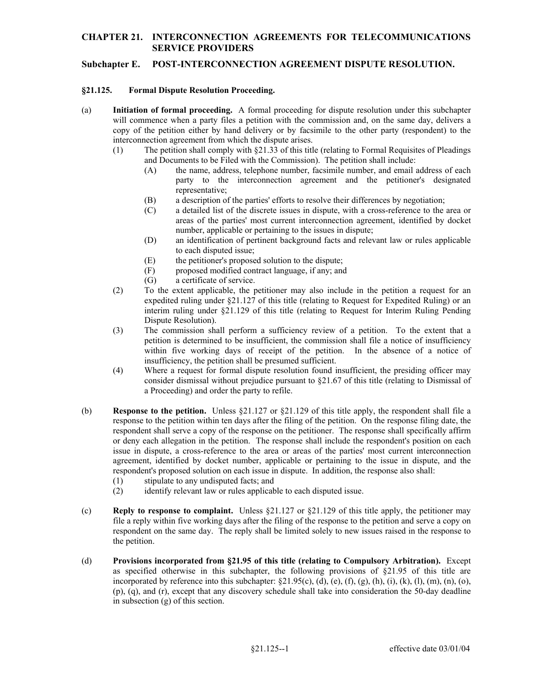# **CHAPTER 21. INTERCONNECTION AGREEMENTS FOR TELECOMMUNICATIONS SERVICE PROVIDERS**

## **Subchapter E. POST-INTERCONNECTION AGREEMENT DISPUTE RESOLUTION.**

### **§21.125. Formal Dispute Resolution Proceeding.**

- (a) **Initiation of formal proceeding.** A formal proceeding for dispute resolution under this subchapter copy of the petition either by hand delivery or by facsimile to the other party (respondent) to the will commence when a party files a petition with the commission and, on the same day, delivers a interconnection agreement from which the dispute arises.
	- and Documents to be Filed with the Commission). The petition shall include: (1) The petition shall comply with §21.33 of this title (relating to Formal Requisites of Pleadings
		- (A) the name, address, telephone number, facsimile number, and email address of each party to the interconnection agreement and the petitioner's designated representative;
		- (B) a description of the parties' efforts to resolve their differences by negotiation;
		- number, applicable or pertaining to the issues in dispute; (C) a detailed list of the discrete issues in dispute, with a cross-reference to the area or areas of the parties' most current interconnection agreement, identified by docket
		- (D) an identification of pertinent background facts and relevant law or rules applicable to each disputed issue;
		- (E) the petitioner's proposed solution to the dispute;
		- (F) proposed modified contract language, if any; and
		- (G) a certificate of service.
	- (2) To the extent applicable, the petitioner may also include in the petition a request for an expedited ruling under §21.127 of this title (relating to Request for Expedited Ruling) or an interim ruling under §21.129 of this title (relating to Request for Interim Ruling Pending Dispute Resolution).
	- (3) The commission shall perform a sufficiency review of a petition. To the extent that a petition is determined to be insufficient, the commission shall file a notice of insufficiency within five working days of receipt of the petition. In the absence of a notice of insufficiency, the petition shall be presumed sufficient.
	- consider dismissal without prejudice pursuant to §21.67 of this title (relating to Dismissal of (4) Where a request for formal dispute resolution found insufficient, the presiding officer may a Proceeding) and order the party to refile.
- (b) **Response to the petition.** Unless §21.127 or §21.129 of this title apply, the respondent shall file a response to the petition within ten days after the filing of the petition. On the response filing date, the respondent shall serve a copy of the response on the petitioner. The response shall specifically affirm or deny each allegation in the petition. The response shall include the respondent's position on each issue in dispute, a cross-reference to the area or areas of the parties' most current interconnection agreement, identified by docket number, applicable or pertaining to the issue in dispute, and the respondent's proposed solution on each issue in dispute. In addition, the response also shall:
	- (1) stipulate to any undisputed facts; and
	- (2) identify relevant law or rules applicable to each disputed issue.
- (c) **Reply to response to complaint.** Unless §21.127 or §21.129 of this title apply, the petitioner may file a reply within five working days after the filing of the response to the petition and serve a copy on respondent on the same day. The reply shall be limited solely to new issues raised in the response to the petition.
- as specified otherwise in this subchapter, the following provisions of §21.95 of this title are (d) **Provisions incorporated from §21.95 of this title (relating to Compulsory Arbitration).** Except incorporated by reference into this subchapter:  $\S21.95(c)$ , (d), (e), (f), (g), (h), (i), (k), (l), (m), (n), (o), (p), (q), and (r), except that any discovery schedule shall take into consideration the 50-day deadline in subsection (g) of this section.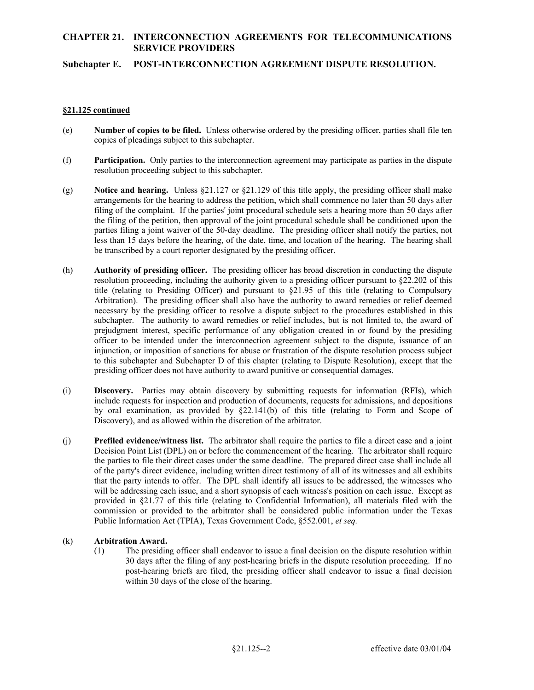# **CHAPTER 21. INTERCONNECTION AGREEMENTS FOR TELECOMMUNICATIONS SERVICE PROVIDERS**

### **Subchapter E. POST-INTERCONNECTION AGREEMENT DISPUTE RESOLUTION.**

#### **§21.125 continued**

- (e) **Number of copies to be filed.** Unless otherwise ordered by the presiding officer, parties shall file ten copies of pleadings subject to this subchapter.
- (f) **Participation.** Only parties to the interconnection agreement may participate as parties in the dispute resolution proceeding subject to this subchapter.
- arrangements for the hearing to address the petition, which shall commence no later than 50 days after less than 15 days before the hearing, of the date, time, and location of the hearing. The hearing shall (g) **Notice and hearing.** Unless §21.127 or §21.129 of this title apply, the presiding officer shall make filing of the complaint. If the parties' joint procedural schedule sets a hearing more than 50 days after the filing of the petition, then approval of the joint procedural schedule shall be conditioned upon the parties filing a joint waiver of the 50-day deadline. The presiding officer shall notify the parties, not be transcribed by a court reporter designated by the presiding officer.
- subchapter. The authority to award remedies or relief includes, but is not limited to, the award of (h) **Authority of presiding officer.** The presiding officer has broad discretion in conducting the dispute resolution proceeding, including the authority given to a presiding officer pursuant to §22.202 of this title (relating to Presiding Officer) and pursuant to §21.95 of this title (relating to Compulsory Arbitration). The presiding officer shall also have the authority to award remedies or relief deemed necessary by the presiding officer to resolve a dispute subject to the procedures established in this prejudgment interest, specific performance of any obligation created in or found by the presiding officer to be intended under the interconnection agreement subject to the dispute, issuance of an injunction, or imposition of sanctions for abuse or frustration of the dispute resolution process subject to this subchapter and Subchapter D of this chapter (relating to Dispute Resolution), except that the presiding officer does not have authority to award punitive or consequential damages.
- by oral examination, as provided by §22.141(b) of this title (relating to Form and Scope of Discovery), and as allowed within the discretion of the arbitrator. (i) **Discovery.** Parties may obtain discovery by submitting requests for information (RFIs), which include requests for inspection and production of documents, requests for admissions, and depositions
- (j) **Prefiled evidence/witness list.** The arbitrator shall require the parties to file a direct case and a joint Decision Point List (DPL) on or before the commencement of the hearing. The arbitrator shall require the parties to file their direct cases under the same deadline. The prepared direct case shall include all of the party's direct evidence, including written direct testimony of all of its witnesses and all exhibits that the party intends to offer. The DPL shall identify all issues to be addressed, the witnesses who will be addressing each issue, and a short synopsis of each witness's position on each issue. Except as provided in §21.77 of this title (relating to Confidential Information), all materials filed with the commission or provided to the arbitrator shall be considered public information under the Texas Public Information Act (TPIA), Texas Government Code, §552.001, *et seq.*

### (k) **Arbitration Award.**

(1) The presiding officer shall endeavor to issue a final decision on the dispute resolution within 30 days after the filing of any post-hearing briefs in the dispute resolution proceeding. If no post-hearing briefs are filed, the presiding officer shall endeavor to issue a final decision within 30 days of the close of the hearing.